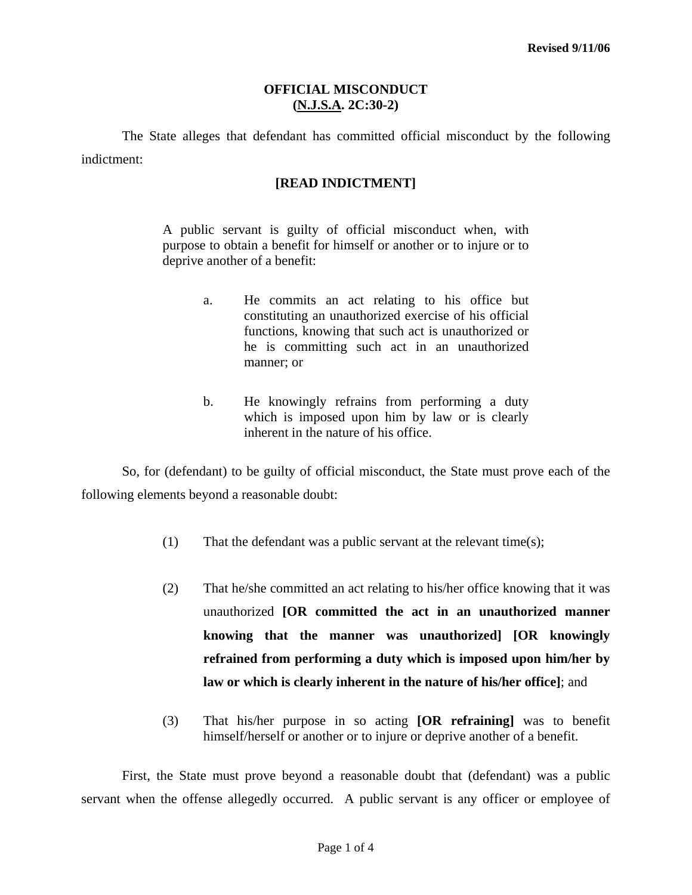#### **OFFICIAL MISCONDUCT (N.J.S.A. 2C:30-2)**

 The State alleges that defendant has committed official misconduct by the following indictment:

#### **[READ INDICTMENT]**

A public servant is guilty of official misconduct when, with purpose to obtain a benefit for himself or another or to injure or to deprive another of a benefit:

- a. He commits an act relating to his office but constituting an unauthorized exercise of his official functions, knowing that such act is unauthorized or he is committing such act in an unauthorized manner; or
- b. He knowingly refrains from performing a duty which is imposed upon him by law or is clearly inherent in the nature of his office.

 So, for (defendant) to be guilty of official misconduct, the State must prove each of the following elements beyond a reasonable doubt:

- (1) That the defendant was a public servant at the relevant time(s);
- (2) That he/she committed an act relating to his/her office knowing that it was unauthorized **[OR committed the act in an unauthorized manner knowing that the manner was unauthorized] [OR knowingly refrained from performing a duty which is imposed upon him/her by law or which is clearly inherent in the nature of his/her office]**; and
- (3) That his/her purpose in so acting **[OR refraining]** was to benefit himself/herself or another or to injure or deprive another of a benefit.

<span id="page-0-0"></span> First, the State must prove beyond a reasonable doubt that (defendant) was a public servant when the offense allegedly occurred. A public servant is any officer or employee of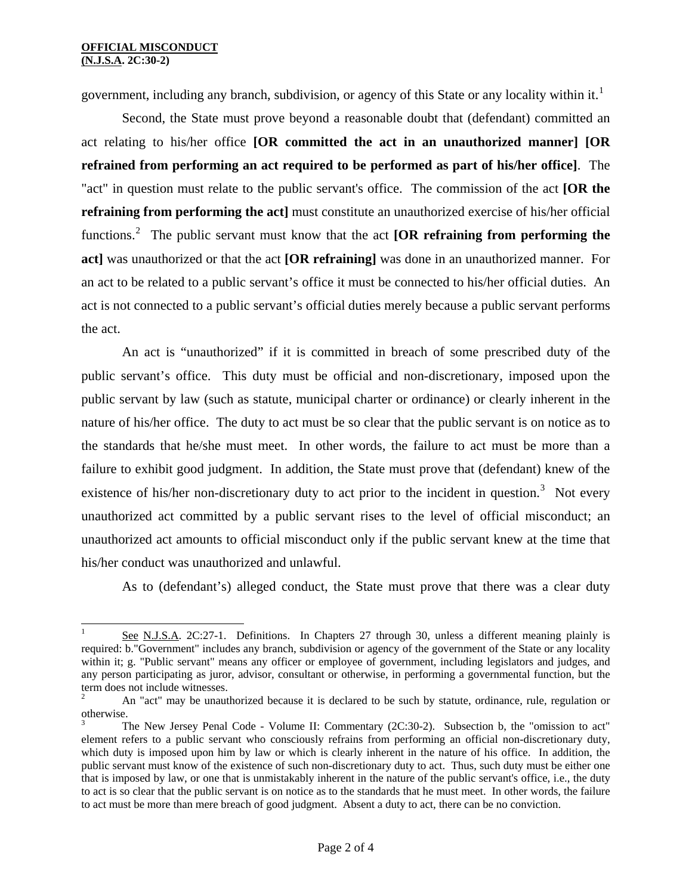$\overline{\phantom{a}}$ 

government, including any branch, subdivision, or agency of this State or any locality within it.<sup>[1](#page-0-0)</sup>

 Second, the State must prove beyond a reasonable doubt that (defendant) committed an act relating to his/her office **[OR committed the act in an unauthorized manner] [OR refrained from performing an act required to be performed as part of his/her office]**. The "act" in question must relate to the public servant's office. The commission of the act **[OR the refraining from performing the act]** must constitute an unauthorized exercise of his/her official functions.<sup>[2](#page-1-0)</sup> The public servant must know that the act **[OR refraining from performing the act]** was unauthorized or that the act **[OR refraining]** was done in an unauthorized manner. For an act to be related to a public servant's office it must be connected to his/her official duties. An act is not connected to a public servant's official duties merely because a public servant performs the act.

 An act is "unauthorized" if it is committed in breach of some prescribed duty of the public servant's office. This duty must be official and non-discretionary, imposed upon the public servant by law (such as statute, municipal charter or ordinance) or clearly inherent in the nature of his/her office. The duty to act must be so clear that the public servant is on notice as to the standards that he/she must meet. In other words, the failure to act must be more than a failure to exhibit good judgment. In addition, the State must prove that (defendant) knew of the existence of his/her non-discretionary duty to act prior to the incident in question.<sup>[3](#page-1-1)</sup> Not every unauthorized act committed by a public servant rises to the level of official misconduct; an unauthorized act amounts to official misconduct only if the public servant knew at the time that his/her conduct was unauthorized and unlawful.

As to (defendant's) alleged conduct, the State must prove that there was a clear duty

See N.J.S.A. 2C:27-1. Definitions. In Chapters 27 through 30, unless a different meaning plainly is required: b."Government" includes any branch, subdivision or agency of the government of the State or any locality within it; g. "Public servant" means any officer or employee of government, including legislators and judges, and any person participating as juror, advisor, consultant or otherwise, in performing a governmental function, but the term does not include witnesses.

<span id="page-1-0"></span><sup>2</sup> An "act" may be unauthorized because it is declared to be such by statute, ordinance, rule, regulation or otherwise.

<span id="page-1-2"></span><span id="page-1-1"></span><sup>3</sup> The New Jersey Penal Code - Volume II: Commentary (2C:30-2). Subsection b, the "omission to act" element refers to a public servant who consciously refrains from performing an official non-discretionary duty, which duty is imposed upon him by law or which is clearly inherent in the nature of his office. In addition, the public servant must know of the existence of such non-discretionary duty to act. Thus, such duty must be either one that is imposed by law, or one that is unmistakably inherent in the nature of the public servant's office, i.e., the duty to act is so clear that the public servant is on notice as to the standards that he must meet. In other words, the failure to act must be more than mere breach of good judgment. Absent a duty to act, there can be no conviction.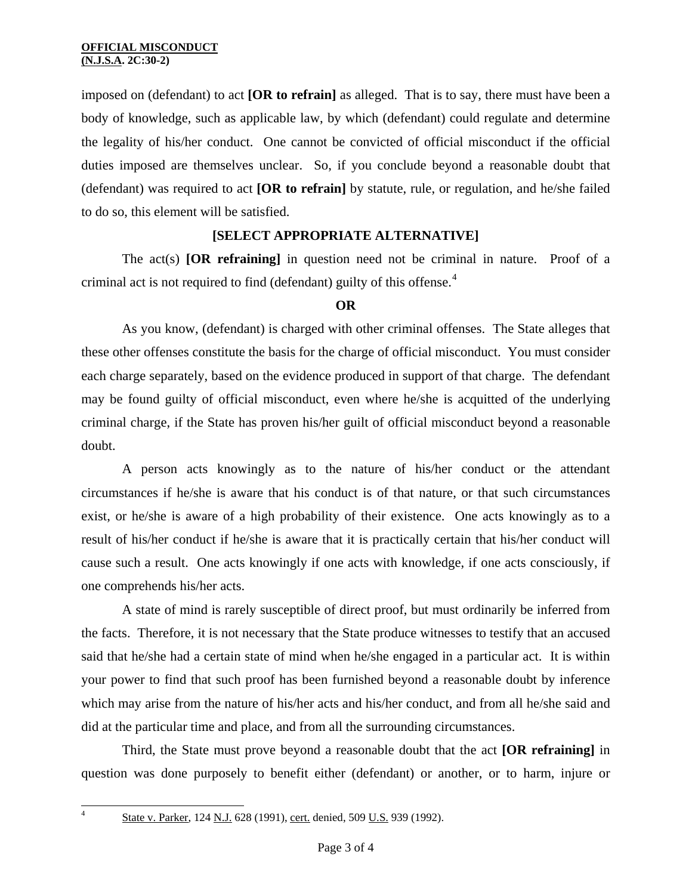imposed on (defendant) to act **[OR to refrain]** as alleged. That is to say, there must have been a body of knowledge, such as applicable law, by which (defendant) could regulate and determine the legality of his/her conduct. One cannot be convicted of official misconduct if the official duties imposed are themselves unclear. So, if you conclude beyond a reasonable doubt that (defendant) was required to act **[OR to refrain]** by statute, rule, or regulation, and he/she failed to do so, this element will be satisfied.

# **[SELECT APPROPRIATE ALTERNATIVE]**

 The act(s) **[OR refraining]** in question need not be criminal in nature. Proof of a criminal act is not required to find (defendant) guilty of this offense.<sup>[4](#page-1-2)</sup>

# **OR**

As you know, (defendant) is charged with other criminal offenses. The State alleges that these other offenses constitute the basis for the charge of official misconduct. You must consider each charge separately, based on the evidence produced in support of that charge. The defendant may be found guilty of official misconduct, even where he/she is acquitted of the underlying criminal charge, if the State has proven his/her guilt of official misconduct beyond a reasonable doubt.

 A person acts knowingly as to the nature of his/her conduct or the attendant circumstances if he/she is aware that his conduct is of that nature, or that such circumstances exist, or he/she is aware of a high probability of their existence. One acts knowingly as to a result of his/her conduct if he/she is aware that it is practically certain that his/her conduct will cause such a result. One acts knowingly if one acts with knowledge, if one acts consciously, if one comprehends his/her acts.

 A state of mind is rarely susceptible of direct proof, but must ordinarily be inferred from the facts. Therefore, it is not necessary that the State produce witnesses to testify that an accused said that he/she had a certain state of mind when he/she engaged in a particular act. It is within your power to find that such proof has been furnished beyond a reasonable doubt by inference which may arise from the nature of his/her acts and his/her conduct, and from all he/she said and did at the particular time and place, and from all the surrounding circumstances.

 Third, the State must prove beyond a reasonable doubt that the act **[OR refraining]** in question was done purposely to benefit either (defendant) or another, or to harm, injure or

 $\frac{1}{4}$ 

State v. Parker, 124 N.J. 628 (1991), cert. denied, 509 U.S. 939 (1992).